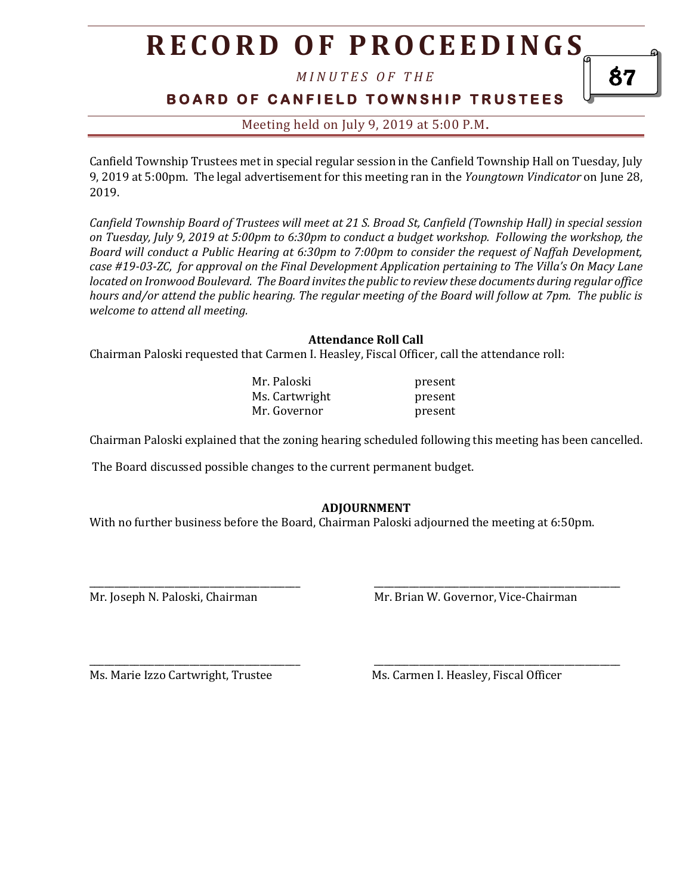# **R E C O R D O F P R O C E E D I N GS**

*M I N U T E S O F T H E* 

### **BOARD OF CANFIELD TOWNSHIP TRUSTEES**

### Meeting held on July 9, 2019 at 5:00 P.M**.**

Canfield Township Trustees met in special regular session in the Canfield Township Hall on Tuesday, July 9, 2019 at 5:00pm. The legal advertisement for this meeting ran in the *Youngtown Vindicator* on June 28, 2019.

*Canfield Township Board of Trustees will meet at 21 S. Broad St, Canfield (Township Hall) in special session on Tuesday, July 9, 2019 at 5:00pm to 6:30pm to conduct a budget workshop. Following the workshop, the Board will conduct a Public Hearing at 6:30pm to 7:00pm to consider the request of Naffah Development, case #19-03-ZC, for approval on the Final Development Application pertaining to The Villa's On Macy Lane located on Ironwood Boulevard. The Board invites the public to review these documents during regular office hours and/or attend the public hearing. The regular meeting of the Board will follow at 7pm. The public is welcome to attend all meeting.*

#### **Attendance Roll Call**

Chairman Paloski requested that Carmen I. Heasley, Fiscal Officer, call the attendance roll:

Mr. Paloski present Ms. Cartwright present Mr. Governor **present** 

Chairman Paloski explained that the zoning hearing scheduled following this meeting has been cancelled.

The Board discussed possible changes to the current permanent budget.

#### **ADJOURNMENT**

\_\_\_\_\_\_\_\_\_\_\_\_\_\_\_\_\_\_\_\_\_\_\_\_\_\_\_\_\_\_\_\_\_\_\_\_\_\_\_\_\_\_ \_\_\_\_\_\_\_\_\_\_\_\_\_\_\_\_\_\_\_\_\_\_\_\_\_\_\_\_\_\_\_\_\_\_\_\_\_\_\_\_\_\_\_\_\_\_\_\_\_

\_\_\_\_\_\_\_\_\_\_\_\_\_\_\_\_\_\_\_\_\_\_\_\_\_\_\_\_\_\_\_\_\_\_\_\_\_\_\_\_\_\_ \_\_\_\_\_\_\_\_\_\_\_\_\_\_\_\_\_\_\_\_\_\_\_\_\_\_\_\_\_\_\_\_\_\_\_\_\_\_\_\_\_\_\_\_\_\_\_\_\_

With no further business before the Board, Chairman Paloski adjourned the meeting at 6:50pm.

Mr. Joseph N. Paloski, Chairman Mr. Brian W. Governor, Vice-Chairman

Ms. Marie Izzo Cartwright, Trustee Ms. Carmen I. Heasley, Fiscal Officer

87